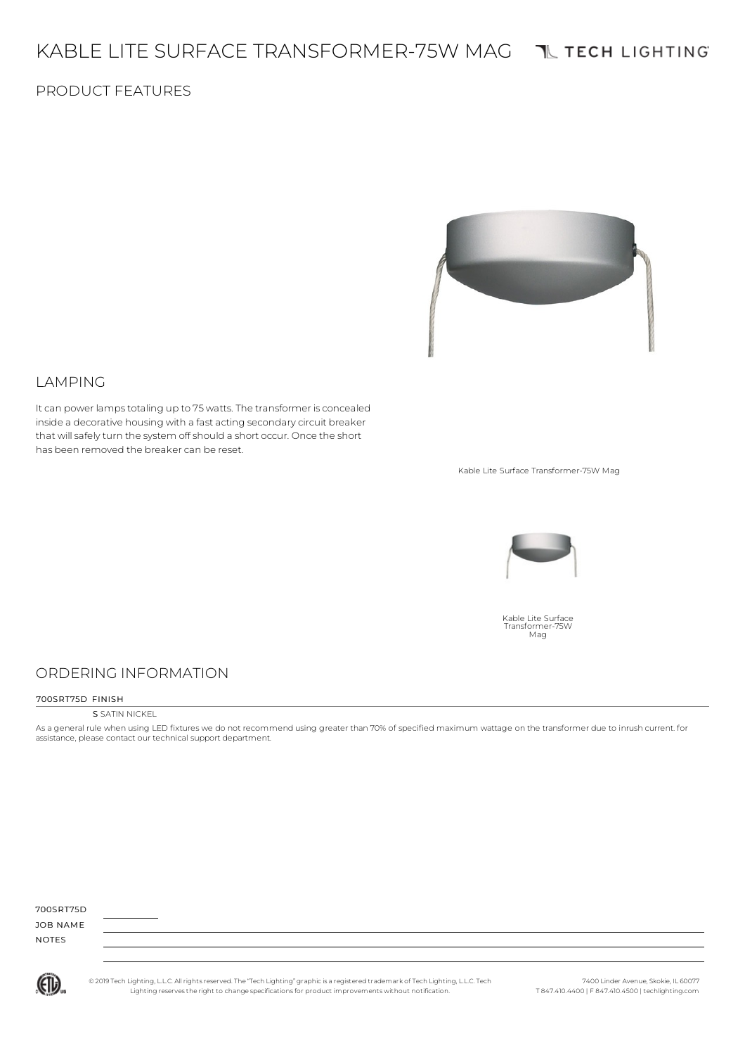# KABLE LITE SURFACE TRANSFORMER-75W MAG TU TECH LIGHTING

## PRODUCT FEATURES



### LAMPING

Itcan power lampstotaling up to 75watts. The transformer isconcealed inside a decorative housing with a fast acting secondarycircuit breaker that will safely turn the system off should a short occur. Once the short has been removed the breaker can be reset.

Kable Lite Surface Transformer-75W Mag



Kable Lite Surface Transformer-75W Mag

## ORDERING INFORMATION

#### 700SRT75D FINISH

#### **S** SATIN NICKEL

As a general rule when using LED fixtures we do not recommend using greater than 70% of specified maximum wattage on the transformer due to inrush current. for assistance, please contact our technical support department.

| 700SRT75D    |  |  |  |
|--------------|--|--|--|
| JOB NAME     |  |  |  |
| <b>NOTES</b> |  |  |  |
|              |  |  |  |



7400 Linder Avenue, Skokie, IL 60077 T 847.410.4400 | F 847.410.4500 | techlighting.com